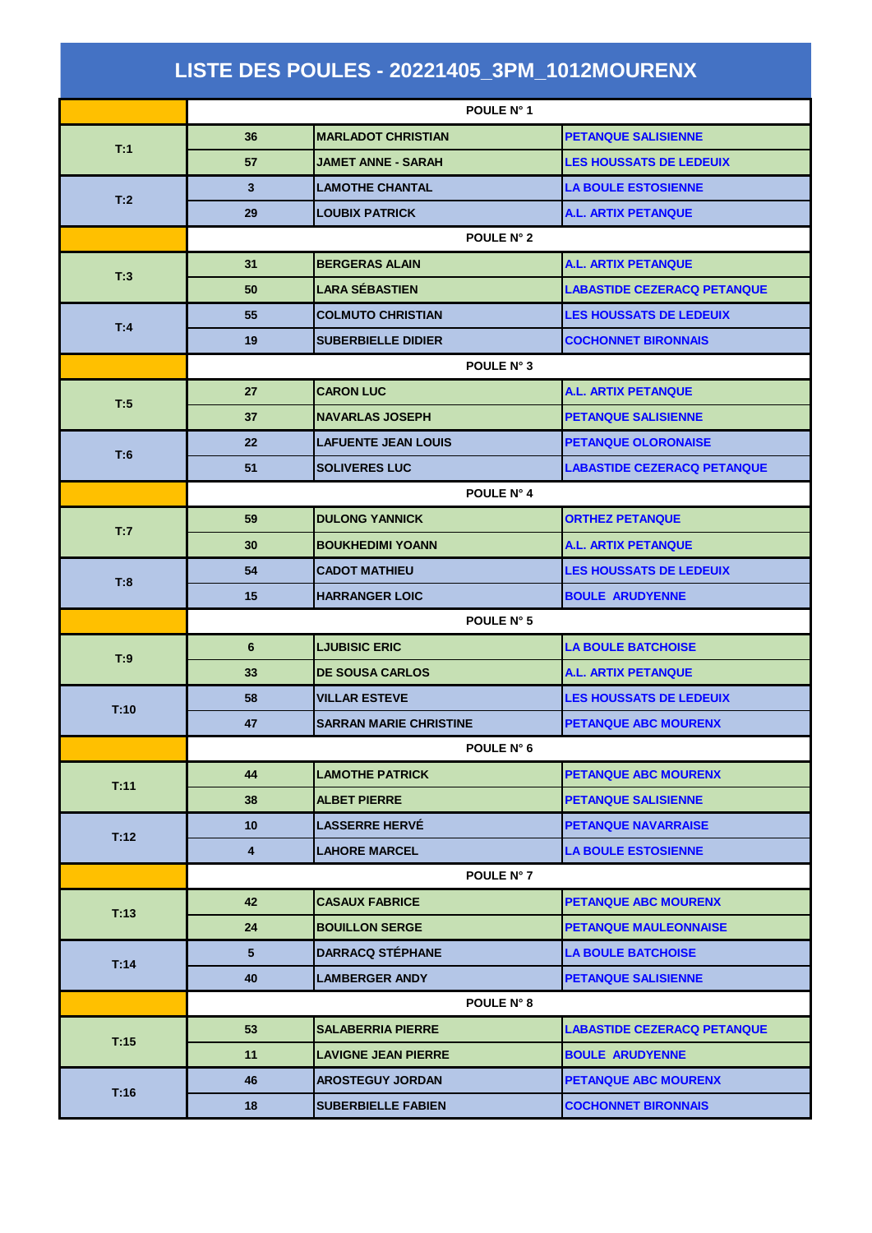| LISTE DES POULES - 20221405_3PM_1012MOURENX |                 |                               |                                    |  |  |
|---------------------------------------------|-----------------|-------------------------------|------------------------------------|--|--|
|                                             |                 | POULE N° 1                    |                                    |  |  |
| T:1                                         | 36              | <b>MARLADOT CHRISTIAN</b>     | <b>PETANQUE SALISIENNE</b>         |  |  |
|                                             | 57              | JAMET ANNE - SARAH            | <b>LES HOUSSATS DE LEDEUIX</b>     |  |  |
| T:2                                         | 3               | <b>LAMOTHE CHANTAL</b>        | <b>LA BOULE ESTOSIENNE</b>         |  |  |
|                                             | 29              | <b>LOUBIX PATRICK</b>         | <b>A.L. ARTIX PETANQUE</b>         |  |  |
|                                             | POULE N° 2      |                               |                                    |  |  |
| T:3                                         | 31              | <b>BERGERAS ALAIN</b>         | <b>A.L. ARTIX PETANQUE</b>         |  |  |
|                                             | 50              | <b>LARA SÉBASTIEN</b>         | <b>LABASTIDE CEZERACQ PETANQUE</b> |  |  |
| T:4                                         | 55              | <b>COLMUTO CHRISTIAN</b>      | <b>LES HOUSSATS DE LEDEUIX</b>     |  |  |
|                                             | 19              | <b>SUBERBIELLE DIDIER</b>     | <b>COCHONNET BIRONNAIS</b>         |  |  |
|                                             | POULE N° 3      |                               |                                    |  |  |
| T:5                                         | 27              | <b>CARON LUC</b>              | <b>A.L. ARTIX PETANQUE</b>         |  |  |
|                                             | 37              | <b>NAVARLAS JOSEPH</b>        | <b>PETANQUE SALISIENNE</b>         |  |  |
| T:6                                         | 22              | <b>LAFUENTE JEAN LOUIS</b>    | <b>PETANQUE OLORONAISE</b>         |  |  |
|                                             | 51              | <b>SOLIVERES LUC</b>          | <b>LABASTIDE CEZERACQ PETANQUE</b> |  |  |
|                                             | POULE N° 4      |                               |                                    |  |  |
|                                             | 59              | <b>DULONG YANNICK</b>         | <b>ORTHEZ PETANQUE</b>             |  |  |
| T:7                                         | 30              | <b>BOUKHEDIMI YOANN</b>       | <b>A.L. ARTIX PETANQUE</b>         |  |  |
|                                             | 54              | <b>CADOT MATHIEU</b>          | <b>LES HOUSSATS DE LEDEUIX</b>     |  |  |
| T:8                                         | 15              | <b>HARRANGER LOIC</b>         | <b>BOULE ARUDYENNE</b>             |  |  |
|                                             | POULE N° 5      |                               |                                    |  |  |
| T:9                                         | 6               | <b>LJUBISIC ERIC</b>          | <b>LA BOULE BATCHOISE</b>          |  |  |
|                                             | 33              | <b>DE SOUSA CARLOS</b>        | A.L. ARTIX PETANQUE                |  |  |
| T:10                                        | 58              | <b>VILLAR ESTEVE</b>          | <b>LES HOUSSATS DE LEDEUIX</b>     |  |  |
|                                             | 47              | <b>SARRAN MARIE CHRISTINE</b> | <b>PETANQUE ABC MOURENX</b>        |  |  |
|                                             | POULE N° 6      |                               |                                    |  |  |
| T:11                                        | 44              | <b>LAMOTHE PATRICK</b>        | <b>PETANQUE ABC MOURENX</b>        |  |  |
|                                             | 38              | <b>ALBET PIERRE</b>           | <b>PETANQUE SALISIENNE</b>         |  |  |
| T:12                                        | 10 <sup>1</sup> | <b>LASSERRE HERVE</b>         | <b>PETANQUE NAVARRAISE</b>         |  |  |
|                                             | 4               | <b>LAHORE MARCEL</b>          | <b>LA BOULE ESTOSIENNE</b>         |  |  |
|                                             | POULE N° 7      |                               |                                    |  |  |
| T:13                                        | 42              | <b>CASAUX FABRICE</b>         | <b>PETANQUE ABC MOURENX</b>        |  |  |
|                                             | 24              | <b>BOUILLON SERGE</b>         | <b>PETANQUE MAULEONNAISE</b>       |  |  |
| T:14                                        | 5               | <b>DARRACQ STEPHANE</b>       | <b>LA BOULE BATCHOISE</b>          |  |  |
|                                             | 40              | <b>LAMBERGER ANDY</b>         | <b>PETANQUE SALISIENNE</b>         |  |  |
|                                             | POULE N° 8      |                               |                                    |  |  |
| T:15                                        | 53              | <b>SALABERRIA PIERRE</b>      | <b>LABASTIDE CEZERACQ PETANQUE</b> |  |  |
|                                             | 11              | <b>LAVIGNE JEAN PIERRE</b>    | <b>BOULE ARUDYENNE</b>             |  |  |
| T:16                                        | 46              | <b>AROSTEGUY JORDAN</b>       | <b>PETANQUE ABC MOURENX</b>        |  |  |
|                                             | 18              | <b>SUBERBIELLE FABIEN</b>     | <b>COCHONNET BIRONNAIS</b>         |  |  |